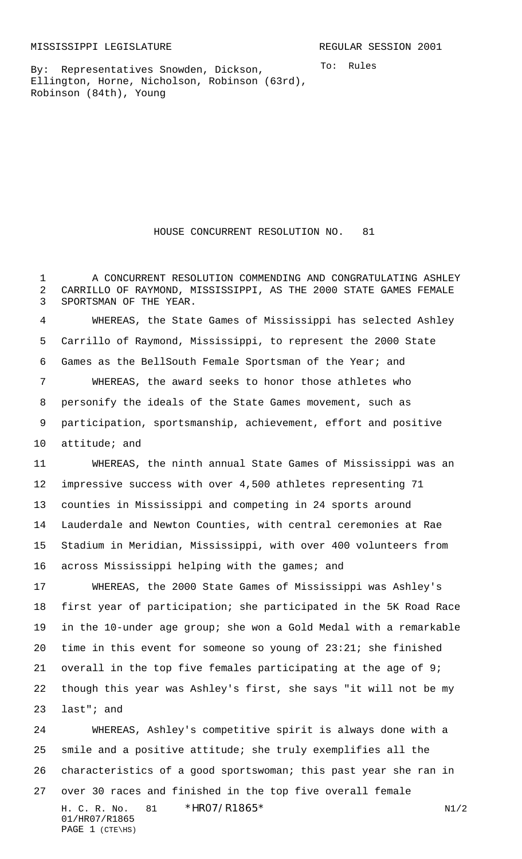To: Rules

By: Representatives Snowden, Dickson, Ellington, Horne, Nicholson, Robinson (63rd), Robinson (84th), Young

HOUSE CONCURRENT RESOLUTION NO. 81

1 A CONCURRENT RESOLUTION COMMENDING AND CONGRATULATING ASHLEY CARRILLO OF RAYMOND, MISSISSIPPI, AS THE 2000 STATE GAMES FEMALE SPORTSMAN OF THE YEAR.

 WHEREAS, the State Games of Mississippi has selected Ashley Carrillo of Raymond, Mississippi, to represent the 2000 State Games as the BellSouth Female Sportsman of the Year; and WHEREAS, the award seeks to honor those athletes who personify the ideals of the State Games movement, such as participation, sportsmanship, achievement, effort and positive attitude; and

 WHEREAS, the ninth annual State Games of Mississippi was an impressive success with over 4,500 athletes representing 71 counties in Mississippi and competing in 24 sports around Lauderdale and Newton Counties, with central ceremonies at Rae Stadium in Meridian, Mississippi, with over 400 volunteers from 16 across Mississippi helping with the games; and

 WHEREAS, the 2000 State Games of Mississippi was Ashley's first year of participation; she participated in the 5K Road Race in the 10-under age group; she won a Gold Medal with a remarkable time in this event for someone so young of 23:21; she finished overall in the top five females participating at the age of 9; though this year was Ashley's first, she says "it will not be my last"; and

H. C. R. No. 81 \* HRO7/R1865\* N1/2 01/HR07/R1865 PAGE 1 (CTE\HS) WHEREAS, Ashley's competitive spirit is always done with a smile and a positive attitude; she truly exemplifies all the characteristics of a good sportswoman; this past year she ran in over 30 races and finished in the top five overall female